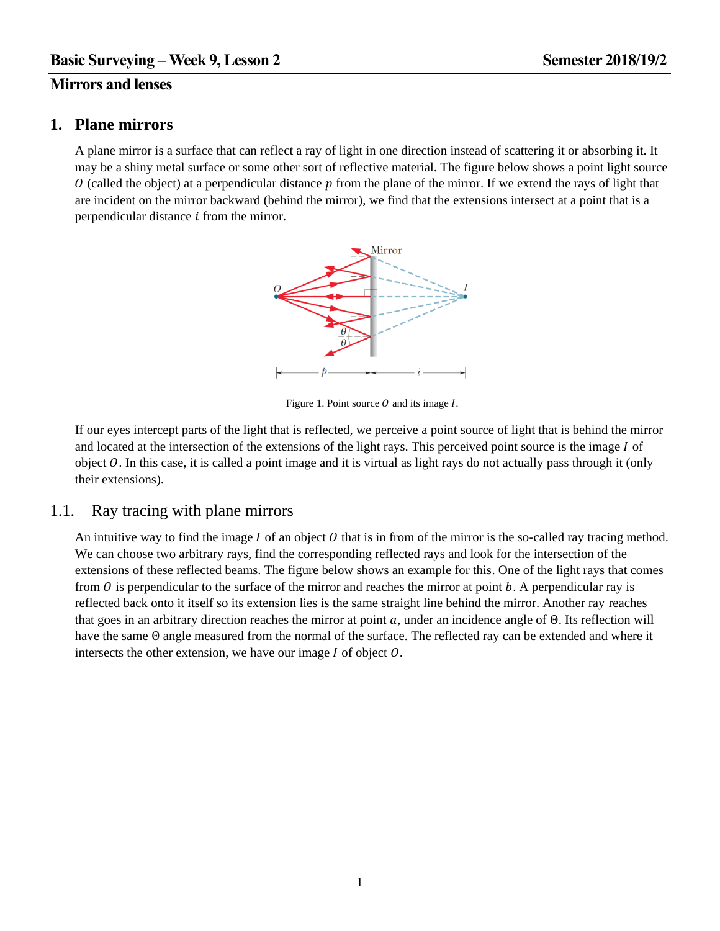# **Mirrors and lenses**

## **1. Plane mirrors**

A plane mirror is a surface that can reflect a ray of light in one direction instead of scattering it or absorbing it. It may be a shiny metal surface or some other sort of reflective material. The figure below shows a point light source  $\theta$  (called the object) at a perpendicular distance  $\hat{p}$  from the plane of the mirror. If we extend the rays of light that are incident on the mirror backward (behind the mirror), we find that the extensions intersect at a point that is a perpendicular distance  $i$  from the mirror.



Figure 1. Point source  $\hat{O}$  and its image  $\hat{I}$ .

If our eyes intercept parts of the light that is reflected, we perceive a point source of light that is behind the mirror and located at the intersection of the extensions of the light rays. This perceived point source is the image  $I$  of object  $O$ . In this case, it is called a point image and it is virtual as light rays do not actually pass through it (only their extensions).

### 1.1. Ray tracing with plane mirrors

An intuitive way to find the image  $I$  of an object  $O$  that is in from of the mirror is the so-called ray tracing method. We can choose two arbitrary rays, find the corresponding reflected rays and look for the intersection of the extensions of these reflected beams. The figure below shows an example for this. One of the light rays that comes from  $\hat{O}$  is perpendicular to the surface of the mirror and reaches the mirror at point  $\hat{O}$ . A perpendicular ray is reflected back onto it itself so its extension lies is the same straight line behind the mirror. Another ray reaches that goes in an arbitrary direction reaches the mirror at point  $a$ , under an incidence angle of  $\Theta$ . Its reflection will have the same Θ angle measured from the normal of the surface. The reflected ray can be extended and where it intersects the other extension, we have our image  $I$  of object  $O$ .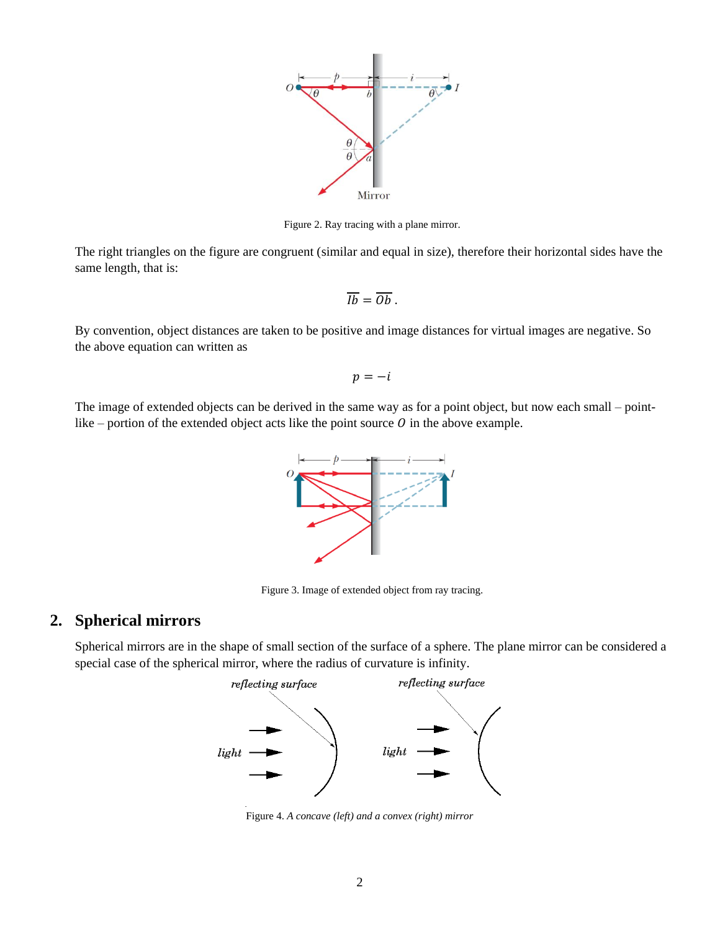

Figure 2. Ray tracing with a plane mirror.

The right triangles on the figure are congruent (similar and equal in size), therefore their horizontal sides have the same length, that is:

$$
\overline{Ib}=\overline{Ob}.
$$

By convention, object distances are taken to be positive and image distances for virtual images are negative. So the above equation can written as

$$
p=-i
$$

The image of extended objects can be derived in the same way as for a point object, but now each small – pointlike – portion of the extended object acts like the point source  $O$  in the above example.



Figure 3. Image of extended object from ray tracing.

## **2. Spherical mirrors**

Spherical mirrors are in the shape of small section of the surface of a sphere. The plane mirror can be considered a special case of the spherical mirror, where the radius of curvature is infinity.



Figure 4. *A concave (left) and a convex (right) mirror*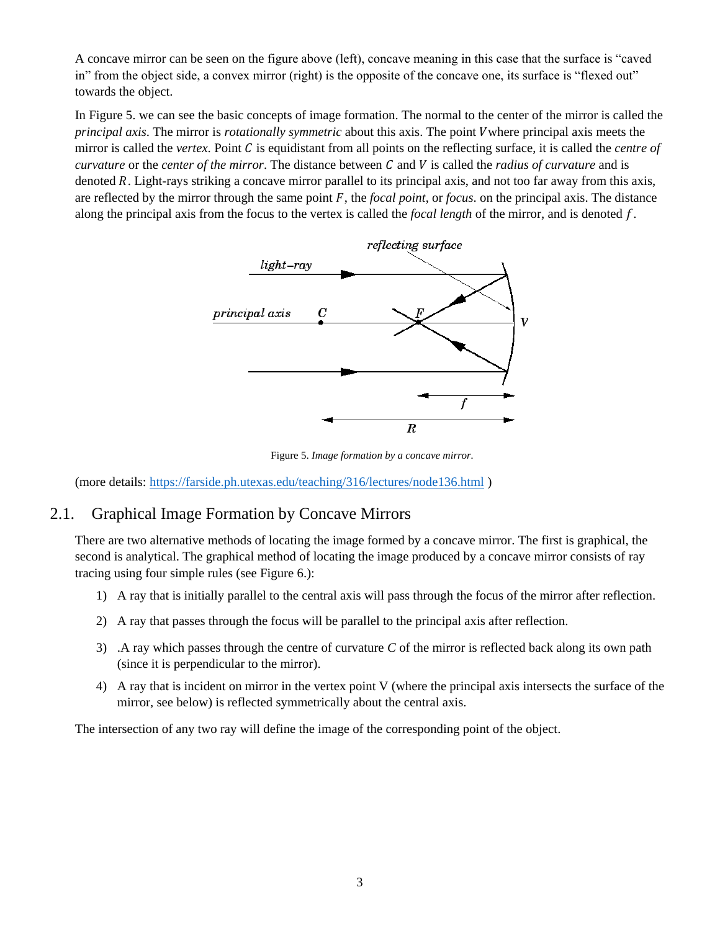A concave mirror can be seen on the figure above (left), concave meaning in this case that the surface is "caved in" from the object side, a convex mirror (right) is the opposite of the concave one, its surface is "flexed out" towards the object.

In Figure 5. we can see the basic concepts of image formation. The normal to the center of the mirror is called the *principal axis*. The mirror is *rotationally symmetric* about this axis. The point where principal axis meets the mirror is called the *vertex*. Point  $C$  is equidistant from all points on the reflecting surface, it is called the *centre of curvature* or the *center* of the mirror. The distance between C and V is called the *radius of curvature* and is denoted  $R$ . Light-rays striking a concave mirror parallel to its principal axis, and not too far away from this axis, are reflected by the mirror through the same point F, the *focal point*, or *focus*, on the principal axis. The distance along the principal axis from the focus to the vertex is called the *focal length* of the mirror, and is denoted f.



Figure 5. *Image formation by a concave mirror.*

(more details:<https://farside.ph.utexas.edu/teaching/316/lectures/node136.html> )

# 2.1. Graphical Image Formation by Concave Mirrors

There are two alternative methods of locating the image formed by a concave mirror. The first is graphical, the second is analytical. The graphical method of locating the image produced by a concave mirror consists of ray tracing using four simple rules (see Figure 6.):

- 1) A ray that is initially parallel to the central axis will pass through the focus of the mirror after reflection.
- 2) A ray that passes through the focus will be parallel to the principal axis after reflection.
- 3) .A ray which passes through the centre of curvature *C* of the mirror is reflected back along its own path (since it is perpendicular to the mirror).
- 4) A ray that is incident on mirror in the vertex point V (where the principal axis intersects the surface of the mirror, see below) is reflected symmetrically about the central axis.

The intersection of any two ray will define the image of the corresponding point of the object.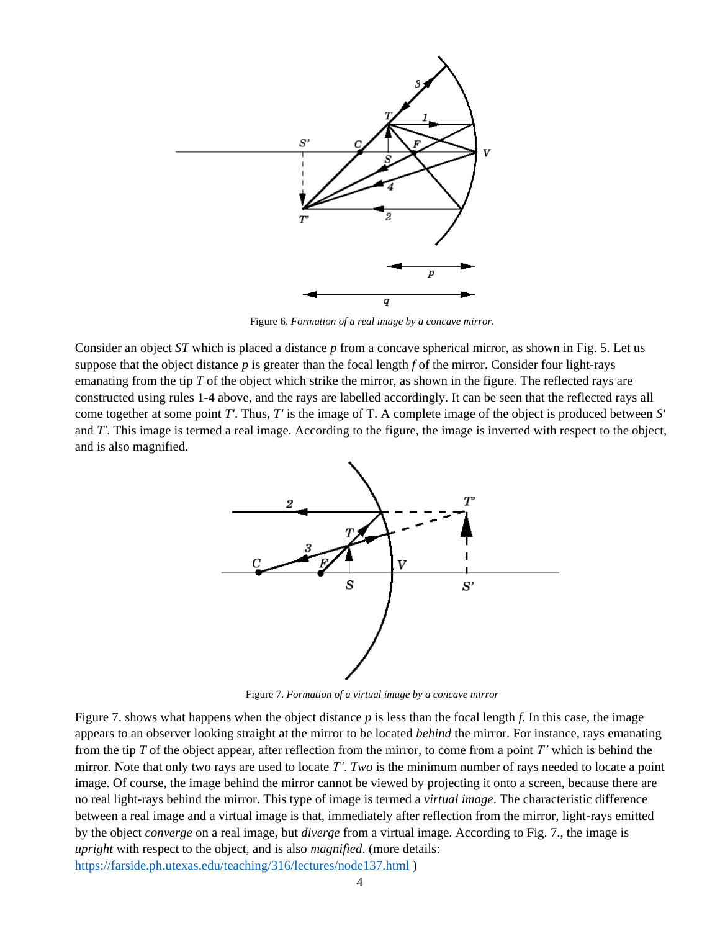

Figure 6. *Formation of a real image by a concave mirror.*

Consider an object *ST* which is placed a distance *p* from a concave spherical mirror, as shown in Fig. 5. Let us suppose that the object distance  $p$  is greater than the focal length  $f$  of the mirror. Consider four light-rays emanating from the tip *T* of the object which strike the mirror, as shown in the figure. The reflected rays are constructed using rules 1-4 above, and the rays are labelled accordingly. It can be seen that the reflected rays all come together at some point *T'*. Thus, *T'* is the image of T. A complete image of the object is produced between *S'* and *T'*. This image is termed a real image. According to the figure, the image is inverted with respect to the object, and is also magnified.



Figure 7. *Formation of a virtual image by a concave mirror*

Figure [7.](https://farside.ph.utexas.edu/teaching/316/lectures/node137.html#f13.5) shows what happens when the object distance *p* is less than the focal length *f*. In this case, the image appears to an observer looking straight at the mirror to be located *behind* the mirror. For instance, rays emanating from the tip *T* of the object appear, after reflection from the mirror, to come from a point *T'* which is behind the mirror. Note that only two rays are used to locate *T'*. *Two* is the minimum number of rays needed to locate a point image. Of course, the image behind the mirror cannot be viewed by projecting it onto a screen, because there are no real light-rays behind the mirror. This type of image is termed a *virtual image*. The characteristic difference between a real image and a virtual image is that, immediately after reflection from the mirror, light-rays emitted by the object *converge* on a real image, but *diverge* from a virtual image. According to Fig. [7.,](https://farside.ph.utexas.edu/teaching/316/lectures/node137.html#f13.5) the image is *upright* with respect to the object, and is also *magnified*. (more details: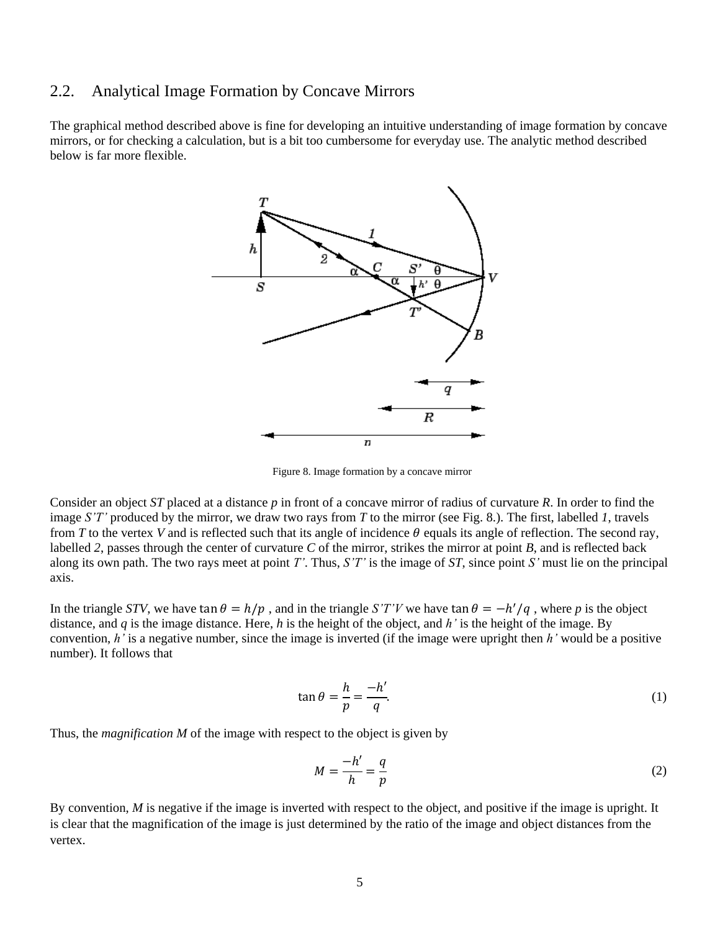## 2.2. Analytical Image Formation by Concave Mirrors

The graphical method described above is fine for developing an intuitive understanding of image formation by concave mirrors, or for checking a calculation, but is a bit too cumbersome for everyday use. The analytic method described below is far more flexible.



Figure 8. Image formation by a concave mirror

Consider an object *ST* placed at a distance *p* in front of a concave mirror of radius of curvature *R*. In order to find the image *S'T'* produced by the mirror, we draw two rays from *T* to the mirror (see Fig. 8.). The first, labelled *1*, travels from *T* to the vertex *V* and is reflected such that its angle of incidence  $\theta$  equals its angle of reflection. The second ray, labelled *2*, passes through the center of curvature *C* of the mirror, strikes the mirror at point *B*, and is reflected back along its own path. The two rays meet at point *T'*. Thus, *S'T'* is the image of *ST*, since point *S'* must lie on the principal axis.

In the triangle *STV*, we have tan  $\theta = h/p$ , and in the triangle *S'T'V* we have tan  $\theta = -h'/q$ , where *p* is the object distance, and *q* is the image distance. Here, *h* is the height of the object, and *h'* is the height of the image. By convention, *h'* is a negative number, since the image is inverted (if the image were upright then *h'* would be a positive number). It follows that

$$
\tan \theta = \frac{h}{p} = \frac{-h'}{q}.\tag{1}
$$

Thus, the *magnification M* of the image with respect to the object is given by

$$
M = \frac{-h'}{h} = \frac{q}{p} \tag{2}
$$

By convention, *M* is negative if the image is inverted with respect to the object, and positive if the image is upright. It is clear that the magnification of the image is just determined by the ratio of the image and object distances from the vertex.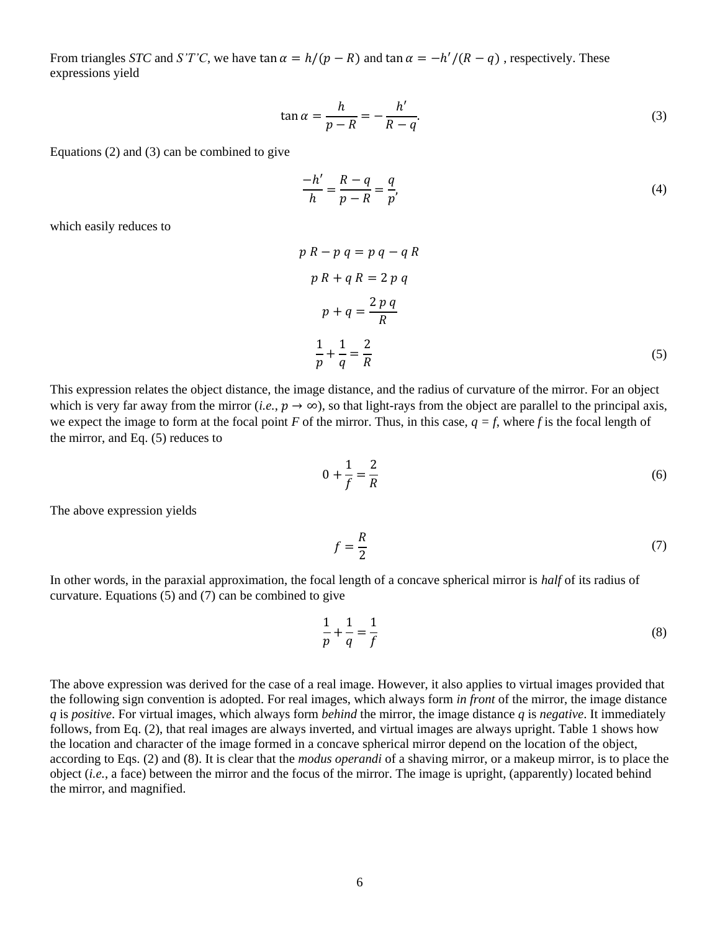From triangles *STC* and *S'T'C*, we have tan  $\alpha = h/(p - R)$  and tan  $\alpha = -h'/(R - q)$ , respectively. These expressions yield

$$
\tan \alpha = \frac{h}{p - R} = -\frac{h'}{R - q}.\tag{3}
$$

Equations [\(2\)](https://farside.ph.utexas.edu/teaching/316/lectures/node137.html#e13.12) and [\(3\)](https://farside.ph.utexas.edu/teaching/316/lectures/node137.html#e13.13) can be combined to give

$$
\frac{-h'}{h} = \frac{R - q}{p - R} = \frac{q}{p'},\tag{4}
$$

which easily reduces to

$$
p R - p q = p q - q R
$$
  
\n
$$
p R + q R = 2 p q
$$
  
\n
$$
p + q = \frac{2 p q}{R}
$$
  
\n
$$
\frac{1}{p} + \frac{1}{q} = \frac{2}{R}
$$
\n(5)

This expression relates the object distance, the image distance, and the radius of curvature of the mirror. For an object which is very far away from the mirror (*i.e.*,  $p \to \infty$ ), so that light-rays from the object are parallel to the principal axis, we expect the image to form at the focal point *F* of the mirror. Thus, in this case,  $q = f$ , where *f* is the focal length of the mirror, and Eq. [\(5\)](https://farside.ph.utexas.edu/teaching/316/lectures/node137.html#e13.15) reduces to

$$
0 + \frac{1}{f} = \frac{2}{R}
$$
\n<sup>(6)</sup>

The above expression yields

$$
f = \frac{R}{2} \tag{7}
$$

In other words, in the paraxial approximation, the focal length of a concave spherical mirror is *half* of its radius of curvature. Equations [\(5\)](https://farside.ph.utexas.edu/teaching/316/lectures/node137.html#e13.15) and [\(7\)](https://farside.ph.utexas.edu/teaching/316/lectures/node137.html#e13.17) can be combined to give

$$
\frac{1}{p} + \frac{1}{q} = \frac{1}{f}
$$
 (8)

The above expression was derived for the case of a real image. However, it also applies to virtual images provided that the following sign convention is adopted. For real images, which always form *in front* of the mirror, the image distance *q* is *positive*. For virtual images, which always form *behind* the mirror, the image distance *q* is *negative*. It immediately follows, from Eq. [\(2\)](https://farside.ph.utexas.edu/teaching/316/lectures/node137.html#e13.12), that real images are always inverted, and virtual images are always upright. Table [1](https://farside.ph.utexas.edu/teaching/316/lectures/node137.html#t13.1) shows how the location and character of the image formed in a concave spherical mirror depend on the location of the object, according to Eqs. [\(2\)](https://farside.ph.utexas.edu/teaching/316/lectures/node137.html#e13.12) and [\(8\)](https://farside.ph.utexas.edu/teaching/316/lectures/node137.html#e13.18). It is clear that the *modus operandi* of a shaving mirror, or a makeup mirror, is to place the object (*i.e.*, a face) between the mirror and the focus of the mirror. The image is upright, (apparently) located behind the mirror, and magnified.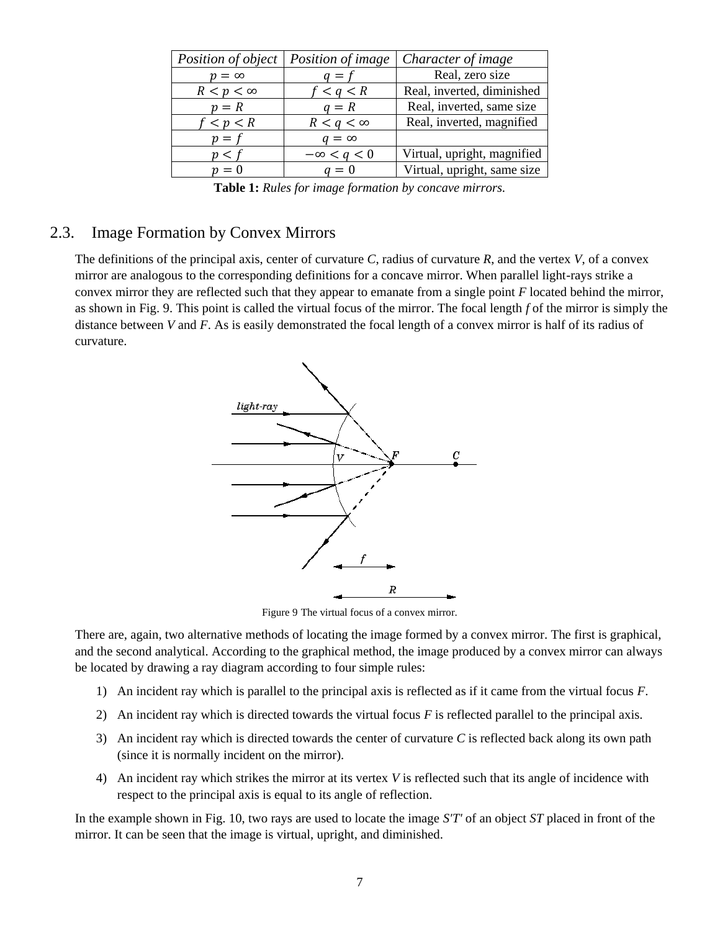| <i>Position of object</i> | Position of image | Character of image          |
|---------------------------|-------------------|-----------------------------|
| $p = \infty$              | $q = f$           | Real, zero size             |
| $R < p < \infty$          | f < q < R         | Real, inverted, diminished  |
| $p = R$                   | $q = R$           | Real, inverted, same size   |
| f < p < R                 | $R < q < \infty$  | Real, inverted, magnified   |
| $p = t$                   | $q = \infty$      |                             |
| n < t                     | $-\infty < q < 0$ | Virtual, upright, magnified |
| $n=0$                     | $a=0$             | Virtual, upright, same size |

**Table 1:** *Rules for image formation by concave mirrors.*

#### 2.3. Image Formation by Convex Mirrors

The definitions of the principal axis, center of curvature *C*, radius of curvature *R*, and the vertex *V*, of a convex mirror are analogous to the corresponding definitions for a concave mirror. When parallel light-rays strike a convex mirror they are reflected such that they appear to emanate from a single point *F* located behind the mirror, as shown in Fig. 9. This point is called the virtual focus of the mirror. The focal length *f* of the mirror is simply the distance between *V* and *F*. As is easily demonstrated the focal length of a convex mirror is half of its radius of curvature.



Figure 9 The virtual focus of a convex mirror.

There are, again, two alternative methods of locating the image formed by a convex mirror. The first is graphical, and the second analytical. According to the graphical method, the image produced by a convex mirror can always be located by drawing a ray diagram according to four simple rules:

- 1) An incident ray which is parallel to the principal axis is reflected as if it came from the virtual focus *F*.
- 2) An incident ray which is directed towards the virtual focus *F* is reflected parallel to the principal axis.
- 3) An incident ray which is directed towards the center of curvature *C* is reflected back along its own path (since it is normally incident on the mirror).
- 4) An incident ray which strikes the mirror at its vertex *V* is reflected such that its angle of incidence with respect to the principal axis is equal to its angle of reflection.

In the example shown in Fig. 10, two rays are used to locate the image *S'T'* of an object *ST* placed in front of the mirror. It can be seen that the image is virtual, upright, and diminished.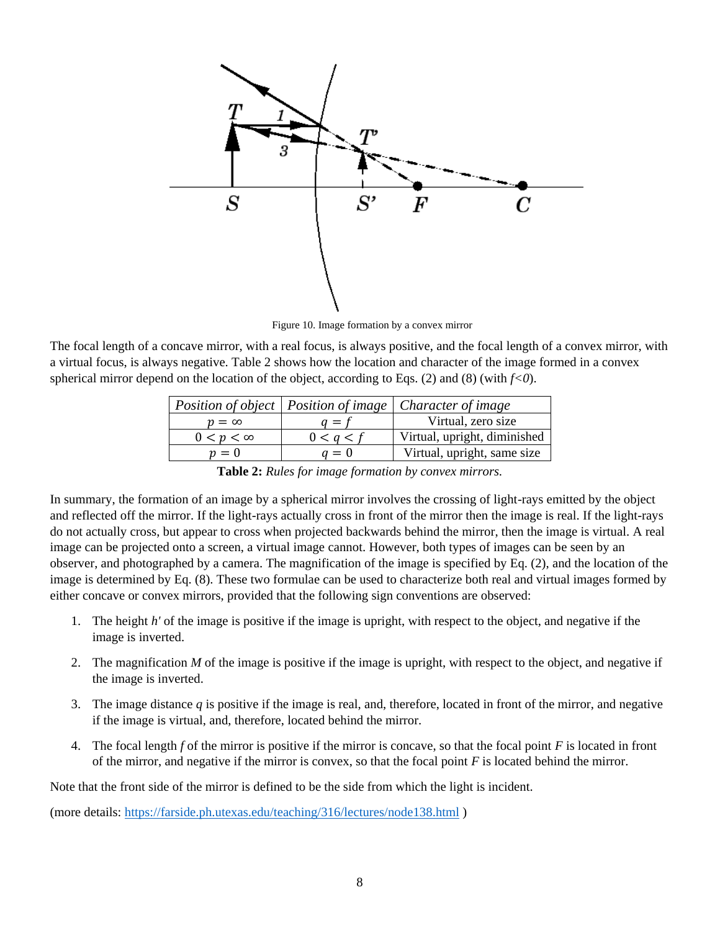

Figure 10. Image formation by a convex mirror

The focal length of a concave mirror, with a real focus, is always positive, and the focal length of a convex mirror, with a virtual focus, is always negative. Table 2 shows how the location and character of the image formed in a convex spherical mirror depend on the location of the object, according to Eqs. (2) and (8) (with  $f<0$ ).

|                  |           | Position of object   Position of image   Character of image |
|------------------|-----------|-------------------------------------------------------------|
| $p = \infty$     | $q = t$   | Virtual, zero size                                          |
| $0 < p < \infty$ | 0 < a < f | Virtual, upright, diminished                                |
| $p=0$            | $q=0$     | Virtual, upright, same size                                 |

**Table 2:** *Rules for image formation by convex mirrors.*

In summary, the formation of an image by a spherical mirror involves the crossing of light-rays emitted by the object and reflected off the mirror. If the light-rays actually cross in front of the mirror then the image is real. If the light-rays do not actually cross, but appear to cross when projected backwards behind the mirror, then the image is virtual. A real image can be projected onto a screen, a virtual image cannot. However, both types of images can be seen by an observer, and photographed by a camera. The magnification of the image is specified by Eq. (2), and the location of the image is determined by Eq. (8). These two formulae can be used to characterize both real and virtual images formed by either concave or convex mirrors, provided that the following sign conventions are observed:

- 1. The height *h'* of the image is positive if the image is upright, with respect to the object, and negative if the image is inverted.
- 2. The magnification *M* of the image is positive if the image is upright, with respect to the object, and negative if the image is inverted.
- 3. The image distance *q* is positive if the image is real, and, therefore, located in front of the mirror, and negative if the image is virtual, and, therefore, located behind the mirror.
- 4. The focal length *f* of the mirror is positive if the mirror is concave, so that the focal point *F* is located in front of the mirror, and negative if the mirror is convex, so that the focal point *F* is located behind the mirror.

Note that the front side of the mirror is defined to be the side from which the light is incident.

(more details:<https://farside.ph.utexas.edu/teaching/316/lectures/node138.html> )